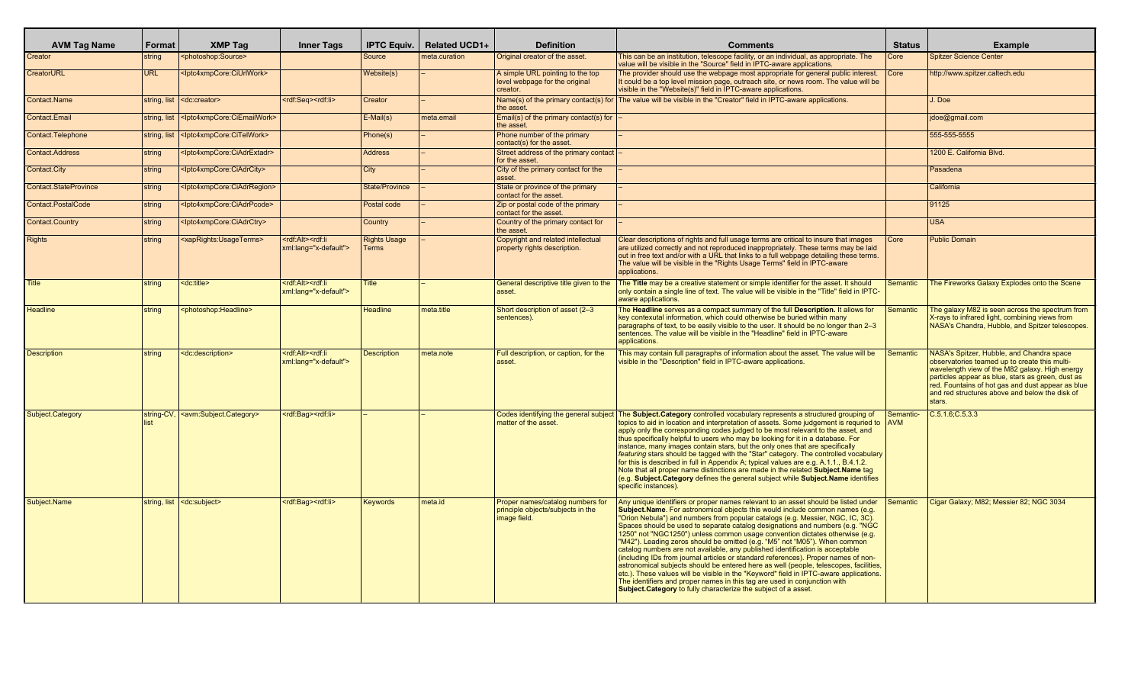| <b>AVM Tag Name</b>    | Format       | <b>XMP Tag</b>                                                | <b>Inner Tags</b>                                                  | <b>IPTC Equiv.</b>                  | <b>Related UCD1+</b> | <b>Definition</b>                                                                     | <b>Comments</b>                                                                                                                                                                                                                                                                                                                                                                                                                                                                                                                                                                                                                                                                                                                                                                                                                                                                                                                                                                                              | <b>Status</b>           | <b>Example</b>                                                                                                                                                                                                                                                                                                     |
|------------------------|--------------|---------------------------------------------------------------|--------------------------------------------------------------------|-------------------------------------|----------------------|---------------------------------------------------------------------------------------|--------------------------------------------------------------------------------------------------------------------------------------------------------------------------------------------------------------------------------------------------------------------------------------------------------------------------------------------------------------------------------------------------------------------------------------------------------------------------------------------------------------------------------------------------------------------------------------------------------------------------------------------------------------------------------------------------------------------------------------------------------------------------------------------------------------------------------------------------------------------------------------------------------------------------------------------------------------------------------------------------------------|-------------------------|--------------------------------------------------------------------------------------------------------------------------------------------------------------------------------------------------------------------------------------------------------------------------------------------------------------------|
| Creator                | string       | <photoshop:source></photoshop:source>                         |                                                                    | Source                              | neta.curation        | Original creator of the asset.                                                        | This can be an institution, telescope facility, or an individual, as appropriate. The<br>value will be visible in the "Source" field in IPTC-aware applications.                                                                                                                                                                                                                                                                                                                                                                                                                                                                                                                                                                                                                                                                                                                                                                                                                                             | Core                    | <b>Spitzer Science Center</b>                                                                                                                                                                                                                                                                                      |
| <b>CreatorURL</b>      | <b>URL</b>   | <lptc4xmpcore:ciurlwork></lptc4xmpcore:ciurlwork>             |                                                                    | Website(s)                          |                      | A simple URL pointing to the top<br>level webpage for the original<br>creator.        | The provider should use the webpage most appropriate for general public interest.<br>t could be a top level mission page, outreach site, or news room. The value will be<br>visible in the "Website(s)" field in IPTC-aware applications.                                                                                                                                                                                                                                                                                                                                                                                                                                                                                                                                                                                                                                                                                                                                                                    | Core                    | http://www.spitzer.caltech.edu                                                                                                                                                                                                                                                                                     |
| Contact.Name           | string, list | <dc:creator></dc:creator>                                     | <rdf:seg><rdf:li></rdf:li></rdf:seg>                               | Creator                             |                      | Name(s) of the primary contact(s) for<br>the asset                                    | The value will be visible in the "Creator" field in IPTC-aware applications.                                                                                                                                                                                                                                                                                                                                                                                                                                                                                                                                                                                                                                                                                                                                                                                                                                                                                                                                 |                         | J. Doe                                                                                                                                                                                                                                                                                                             |
| Contact.Email          | string, lis  | <lptc4xmpcore:ciemailwork></lptc4xmpcore:ciemailwork>         |                                                                    | E-Mail(s)                           | meta.email           | Email(s) of the primary contact(s) for<br>the asset.                                  |                                                                                                                                                                                                                                                                                                                                                                                                                                                                                                                                                                                                                                                                                                                                                                                                                                                                                                                                                                                                              |                         | jdoe@gmail.com                                                                                                                                                                                                                                                                                                     |
| Contact. Telephone     | string, lis  | <lptc4xmpcore:citelwork></lptc4xmpcore:citelwork>             |                                                                    | Phone(s)                            |                      | Phone number of the primary<br>contact(s) for the asset.                              |                                                                                                                                                                                                                                                                                                                                                                                                                                                                                                                                                                                                                                                                                                                                                                                                                                                                                                                                                                                                              |                         | 555-555-5555                                                                                                                                                                                                                                                                                                       |
| <b>Contact.Address</b> | string       | <lptc4xmpcore:ciadrextadr></lptc4xmpcore:ciadrextadr>         |                                                                    | <b>Address</b>                      |                      | Street address of the primary contact<br>for the asset.                               |                                                                                                                                                                                                                                                                                                                                                                                                                                                                                                                                                                                                                                                                                                                                                                                                                                                                                                                                                                                                              |                         | 1200 E. California Blvd.                                                                                                                                                                                                                                                                                           |
| Contact.City           | string       | <lptc4xmpcore:ciadrcity></lptc4xmpcore:ciadrcity>             |                                                                    | City                                |                      | City of the primary contact for the<br>lasset.                                        |                                                                                                                                                                                                                                                                                                                                                                                                                                                                                                                                                                                                                                                                                                                                                                                                                                                                                                                                                                                                              |                         | Pasadena                                                                                                                                                                                                                                                                                                           |
| Contact.StateProvince  | string       | <lptc4xmpcore:ciadrregion></lptc4xmpcore:ciadrregion>         |                                                                    | <b>State/Province</b>               |                      | State or province of the primary<br>contact for the asset                             |                                                                                                                                                                                                                                                                                                                                                                                                                                                                                                                                                                                                                                                                                                                                                                                                                                                                                                                                                                                                              |                         | California                                                                                                                                                                                                                                                                                                         |
| Contact.PostalCode     | string       | <lptc4xmpcore:ciadrpcode></lptc4xmpcore:ciadrpcode>           |                                                                    | Postal code                         |                      | Zip or postal code of the primary<br>contact for the asset.                           |                                                                                                                                                                                                                                                                                                                                                                                                                                                                                                                                                                                                                                                                                                                                                                                                                                                                                                                                                                                                              |                         | 91125                                                                                                                                                                                                                                                                                                              |
| Contact.Country        | string       | <lptc4xmpcore:ciadrctry></lptc4xmpcore:ciadrctry>             |                                                                    | Country                             |                      | Country of the primary contact for<br>the asset.                                      |                                                                                                                                                                                                                                                                                                                                                                                                                                                                                                                                                                                                                                                                                                                                                                                                                                                                                                                                                                                                              |                         | <b>USA</b>                                                                                                                                                                                                                                                                                                         |
| <b>Rights</b>          | string       | <xaprights:usageterms></xaprights:usageterms>                 | <rdf:alt><rdf:li<br>xml:lang="x-default"&gt;</rdf:li<br></rdf:alt> | <b>Rights Usage</b><br><b>Terms</b> |                      | Copyright and related intellectual<br>property rights description.                    | Clear descriptions of rights and full usage terms are critical to insure that images<br>are utilized correctly and not reproduced inappropriately. These terms may be laid<br>out in free text and/or with a URL that links to a full webpage detailing these terms.<br>The value will be visible in the "Rights Usage Terms" field in IPTC-aware<br>applications.                                                                                                                                                                                                                                                                                                                                                                                                                                                                                                                                                                                                                                           | Core                    | <b>Public Domain</b>                                                                                                                                                                                                                                                                                               |
| <b>Title</b>           | string       | <dc:title></dc:title>                                         | <rdf:alt><rdf:li<br>xml:lang="x-default"&gt;</rdf:li<br></rdf:alt> | Title                               |                      | General descriptive title given to the<br>asset.                                      | The Title may be a creative statement or simple identifier for the asset. It should<br>only contain a single line of text. The value will be visible in the "Title" field in IPTC-<br>aware applications.                                                                                                                                                                                                                                                                                                                                                                                                                                                                                                                                                                                                                                                                                                                                                                                                    | Semantic                | The Fireworks Galaxy Explodes onto the Scene                                                                                                                                                                                                                                                                       |
| <b>Headline</b>        | string       | <photoshop:headline></photoshop:headline>                     |                                                                    | <b>Headline</b>                     | meta.title           | Short description of asset (2-3)<br>sentences).                                       | The Headline serves as a compact summary of the full Description. It allows for<br>key contexutal information, which could otherwise be buried within many<br>paragraphs of text, to be easily visible to the user. It should be no longer than 2-3<br>sentences. The value will be visible in the "Headline" field in IPTC-aware<br>applications.                                                                                                                                                                                                                                                                                                                                                                                                                                                                                                                                                                                                                                                           | <b>Semantic</b>         | The galaxy M82 is seen across the spectrum from<br>X-rays to infrared light, combining views from<br>NASA's Chandra, Hubble, and Spitzer telescopes.                                                                                                                                                               |
| <b>Description</b>     | string       | <dc:description></dc:description>                             | <rdf:alt><rdf:li<br>xml:lang="x-default"&gt;</rdf:li<br></rdf:alt> | <b>Description</b>                  | meta.note            | Full description, or caption, for the<br>asset.                                       | This may contain full paragraphs of information about the asset. The value will be<br>visible in the "Description" field in IPTC-aware applications.                                                                                                                                                                                                                                                                                                                                                                                                                                                                                                                                                                                                                                                                                                                                                                                                                                                         | <b>Semantic</b>         | NASA's Spitzer, Hubble, and Chandra space<br>observatories teamed up to create this multi-<br>wavelength view of the M82 galaxy. High energy<br>particles appear as blue, stars as green, dust as<br>red. Fountains of hot gas and dust appear as blue<br>and red structures above and below the disk of<br>stars. |
| Subject.Category       | string-CV,   | <avm:subject.category></avm:subject.category>                 | <rdf:bag><rdf:li></rdf:li></rdf:bag>                               |                                     |                      | matter of the asset.                                                                  | Codes identifying the general subject The Subject. Category controlled vocabulary represents a structured grouping of<br>topics to aid in location and interpretation of assets. Some judgement is requried to<br>apply only the corresponding codes judged to be most relevant to the asset, and<br>thus specifically helpful to users who may be looking for it in a database. For<br>instance, many images contain stars, but the only ones that are specifically<br>featuring stars should be tagged with the "Star" category. The controlled vocabulary<br>for this is described in full in Appendix A; typical values are e.g. A.1.1., B.4.1.2.<br>Note that all proper name distinctions are made in the related Subject. Name tag<br>(e.g. Subject.Category defines the general subject while Subject.Name identifies<br>specific instances).                                                                                                                                                        | Semantic-<br><b>AVM</b> | $C.5.1.6$ ; $C.5.3.3$                                                                                                                                                                                                                                                                                              |
| Subject.Name           |              | string, list <a> <dc:subject< a="">&gt;&gt;</dc:subject<></a> | <rdf:bag><rdf:li></rdf:li></rdf:bag>                               | Kevwords                            | meta.id              | Proper names/catalog numbers for<br>principle objects/subjects in the<br>image field. | Any unique identifiers or proper names relevant to an asset should be listed under<br>Subject.Name. For astronomical objects this would include common names (e.g.<br>"Orion Nebula") and numbers from popular catalogs (e.g. Messier, NGC, IC, 3C).<br>Spaces should be used to separate catalog designations and numbers (e.g. "NGC<br>1250" not "NGC1250") unless common usage convention dictates otherwise (e.g.<br>"M42"). Leading zeros should be omitted (e.g. "M5" not "M05"). When common<br>catalog numbers are not available, any published identification is acceptable<br>(including IDs from journal articles or standard references). Proper names of non-<br>astronomical subjects should be entered here as well (people, telescopes, facilities<br>etc.). These values will be visible in the "Keyword" field in IPTC-aware applications.<br>The identifiers and proper names in this tag are used in conjunction with<br>Subject. Category to fully characterize the subject of a asset. | Semantic                | Cigar Galaxy; M82; Messier 82; NGC 3034                                                                                                                                                                                                                                                                            |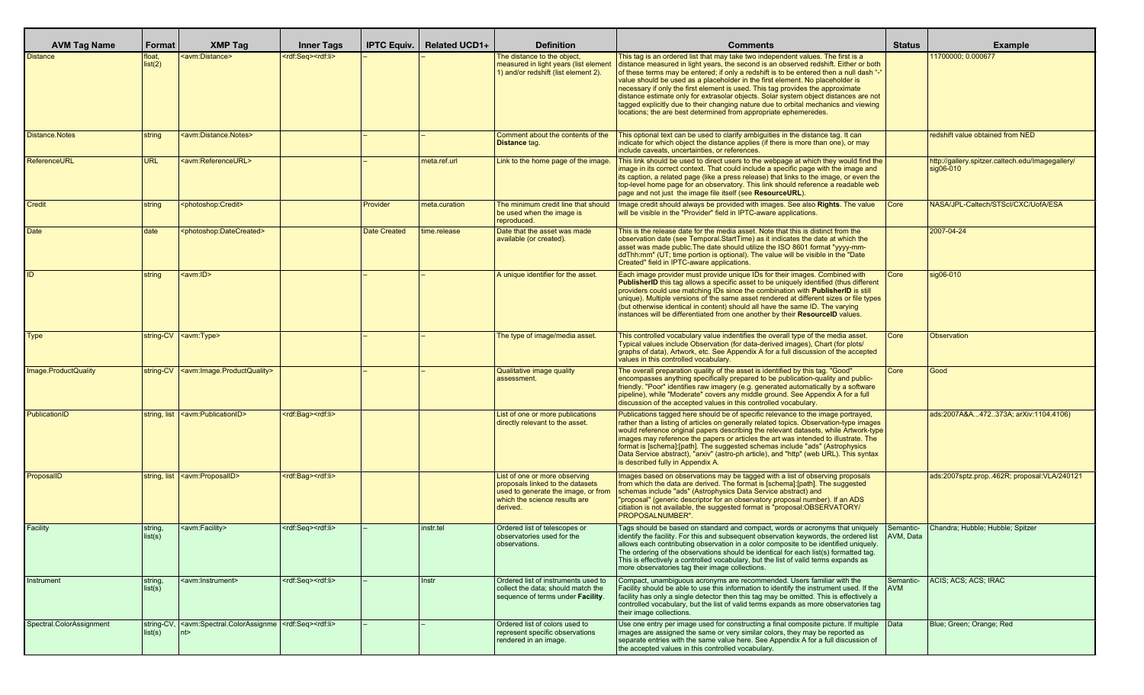| <b>AVM Tag Name</b>      | Format               | <b>XMP Tag</b>                                                                                      | <b>Inner Tags</b>                    | <b>IPTC Equiv.</b>  | <b>Related UCD1+</b> | <b>Definition</b>                                                                                                                                     | <b>Comments</b>                                                                                                                                                                                                                                                                                                                                                                                                                                                                                                                                                                                                                                                                           | Status                  | Example                                                       |
|--------------------------|----------------------|-----------------------------------------------------------------------------------------------------|--------------------------------------|---------------------|----------------------|-------------------------------------------------------------------------------------------------------------------------------------------------------|-------------------------------------------------------------------------------------------------------------------------------------------------------------------------------------------------------------------------------------------------------------------------------------------------------------------------------------------------------------------------------------------------------------------------------------------------------------------------------------------------------------------------------------------------------------------------------------------------------------------------------------------------------------------------------------------|-------------------------|---------------------------------------------------------------|
| <b>Distance</b>          | float.<br>list(2)    | <avm:distance></avm:distance>                                                                       | <rdf:seq><rdf:li></rdf:li></rdf:seq> |                     |                      | The distance to the object,<br>measured in light years (list element<br>1) and/or redshift (list element 2).                                          | This tag is an ordered list that may take two independent values. The first is a<br>distance measured in light years, the second is an observed redshift. Either or both<br>of these terms may be entered; if only a redshift is to be entered then a null dash "-"<br>value should be used as a placeholder in the first element. No placeholder is<br>necessary if only the first element is used. This tag provides the approximate<br>distance estimate only for extrasolar objects. Solar system object distances are not<br>tagged explicitly due to their changing nature due to orbital mechanics and viewing<br>locations; the are best determined from appropriate ephemeredes. |                         | 11700000; 0.000677                                            |
| Distance.Notes           | string               | <avm:distance.notes></avm:distance.notes>                                                           |                                      |                     |                      | Comment about the contents of the<br>Distance tag.                                                                                                    | This optional text can be used to clarify ambiguities in the distance tag. It can<br>indicate for which object the distance applies (if there is more than one), or may<br>include caveats, uncertainties, or references.                                                                                                                                                                                                                                                                                                                                                                                                                                                                 |                         | redshift value obtained from NED                              |
| ReferenceURL             | <b>URL</b>           | <avm:referenceurl></avm:referenceurl>                                                               |                                      |                     | meta.ref.url         | Link to the home page of the image.                                                                                                                   | This link should be used to direct users to the webpage at which they would find the<br>image in its correct context. That could include a specific page with the image and<br>its caption, a related page (like a press release) that links to the image, or even the<br>top-level home page for an observatory. This link should reference a readable web<br>page and not just the image file itself (see ResourceURL).                                                                                                                                                                                                                                                                 |                         | http://gallery.spitzer.caltech.edu/Imagegallery/<br>sig06-010 |
| <b>Credit</b>            | string               | <photoshop:credit></photoshop:credit>                                                               |                                      | Provider            | meta.curation        | The minimum credit line that should<br>be used when the image is<br>reproduced.                                                                       | Image credit should always be provided with images. See also Rights. The value<br>will be visible in the "Provider" field in IPTC-aware applications.                                                                                                                                                                                                                                                                                                                                                                                                                                                                                                                                     | Core                    | NASA/JPL-Caltech/STScl/CXC/UofA/ESA                           |
| <b>Date</b>              | date                 | <photoshop:datecreated></photoshop:datecreated>                                                     |                                      | <b>Date Created</b> | time.release         | Date that the asset was made<br>available (or created).                                                                                               | This is the release date for the media asset. Note that this is distinct from the<br>observation date (see Temporal. Start Time) as it indicates the date at which the<br>asset was made public. The date should utilize the ISO 8601 format "yyyy-mm-<br>ddThh:mm" (UT; time portion is optional). The value will be visible in the "Date"<br>Created" field in IPTC-aware applications.                                                                                                                                                                                                                                                                                                 |                         | 2007-04-24                                                    |
|                          | string               | <avm:id></avm:id>                                                                                   |                                      |                     |                      | A unique identifier for the asset.                                                                                                                    | Each image provider must provide unique IDs for their images. Combined with<br><b>PublisherID</b> this tag allows a specific asset to be uniquely identified (thus different<br>providers could use matching IDs since the combination with PublisherID is still<br>unique). Multiple versions of the same asset rendered at different sizes or file types<br>(but otherwise identical in content) should all have the same ID. The varying<br>instances will be differentiated from one another by their ResourceID values.                                                                                                                                                              | Core                    | sig06-010                                                     |
| Type                     |                      | string-CV   <avm:type></avm:type>                                                                   |                                      |                     |                      | The type of image/media asset.                                                                                                                        | This controlled vocabulary value indentifies the overall type of the media asset.<br>Typical values include Observation (for data-derived images). Chart (for plots/<br>graphs of data), Artwork, etc. See Appendix A for a full discussion of the accepted<br>values in this controlled vocabulary.                                                                                                                                                                                                                                                                                                                                                                                      | Core                    | <b>Observation</b>                                            |
| Image.ProductQuality     |                      | string-CV   <avm: image.productquality=""></avm:>                                                   |                                      |                     |                      | Qualitative image quality<br>assessment.                                                                                                              | The overall preparation quality of the asset is identified by this tag. "Good"<br>encompasses anything specifically prepared to be publication-quality and public-<br>friendly. "Poor" identifies raw imagery (e.g. generated automatically by a software<br>pipeline), while "Moderate" covers any middle ground. See Appendix A for a full<br>discussion of the accepted values in this controlled vocabulary.                                                                                                                                                                                                                                                                          | Core                    | Good                                                          |
| PublicationID            |                      | string, list <avm:publicationid></avm:publicationid>                                                | <rdf:bag><rdf:li></rdf:li></rdf:bag> |                     |                      | List of one or more publications<br>directly relevant to the asset.                                                                                   | Publications tagged here should be of specific relevance to the image portrayed,<br>rather than a listing of articles on generally related topics. Observation-type images<br>would reference original papers describing the relevant datasets, while Artwork-type<br>images may reference the papers or articles the art was intended to illustrate. The<br>format is [schema]: [path]. The suggested schemas include "ads" (Astrophysics<br>Data Service abstract), "arxiv" (astro-ph article), and "http" (web URL). This syntax<br>is described fully in Appendix A.                                                                                                                  |                         | ads:2007A&A472373A arXiv:1104.4106)                           |
| ProposalID               |                      | string, list <avm:proposalid></avm:proposalid>                                                      | <rdf:bag><rdf:li></rdf:li></rdf:bag> |                     |                      | List of one or more observing<br>proposals linked to the datasets<br>used to generate the image, or from<br>which the science results are<br>derived. | Images based on observations may be tagged with a list of observing proposals<br>from which the data are derived. The format is [schema]:[path]. The suggested<br>schemas include "ads" (Astrophysics Data Service abstract) and<br>"proposal" (generic descriptor for an observatory proposal number). If an ADS<br>citiation is not available, the suggested format is "proposal:OBSERVATORY/<br>PROPOSALNUMBER".                                                                                                                                                                                                                                                                       |                         | ads:2007sptz.prop462R; proposal:VLA/240121                    |
| Facility                 | string<br>list(s)    | <avm:facility></avm:facility>                                                                       | <rdf:seq><rdf:li></rdf:li></rdf:seq> |                     | instr.tel            | Ordered list of telescopes or<br>observatories used for the<br>observations                                                                           | Tags should be based on standard and compact, words or acronyms that uniquely<br>identify the facility. For this and subsequent observation keywords, the ordered list<br>allows each contributing observation in a color composite to be identified uniquely.<br>The ordering of the observations should be identical for each list(s) formatted tag.<br>This is effectively a controlled vocabulary, but the list of valid terms expands as<br>more observatories tag their image collections.                                                                                                                                                                                          | Semantic-<br>AVM, Data  | Chandra; Hubble; Hubble; Spitzer                              |
| Instrument               | string.<br>list(s)   | <avm:instrument></avm:instrument>                                                                   | <rdf:seq><rdf:li></rdf:li></rdf:seq> |                     | Instr                | Ordered list of instruments used to<br>collect the data: should match the<br>sequence of terms under Facility.                                        | Compact, unambiguous acronyms are recommended. Users familiar with the<br>Facility should be able to use this information to identify the instrument used. If the<br>facility has only a single detector then this tag may be omitted. This is effectively a<br>controlled vocabulary, but the list of valid terms expands as more observatories tag<br>their image collections.                                                                                                                                                                                                                                                                                                          | Semantic-<br><b>AVM</b> | ACIS; ACS; ACS; IRAC                                          |
| Spectral.ColorAssignment | string-CV<br>list(s) | <avm:spectral.colorassignme  <rdf:seq=""><rdf:li><br/>∣nt&gt;</rdf:li></avm:spectral.colorassignme> |                                      |                     |                      | Ordered list of colors used to<br>represent specific observations<br>rendered in an image.                                                            | Use one entry per image used for constructing a final composite picture. If multiple   Data<br>images are assigned the same or very similar colors, they may be reported as<br>separate entries with the same value here. See Appendix A for a full discussion of<br>the accepted values in this controlled vocabulary.                                                                                                                                                                                                                                                                                                                                                                   |                         | Blue; Green; Orange; Red                                      |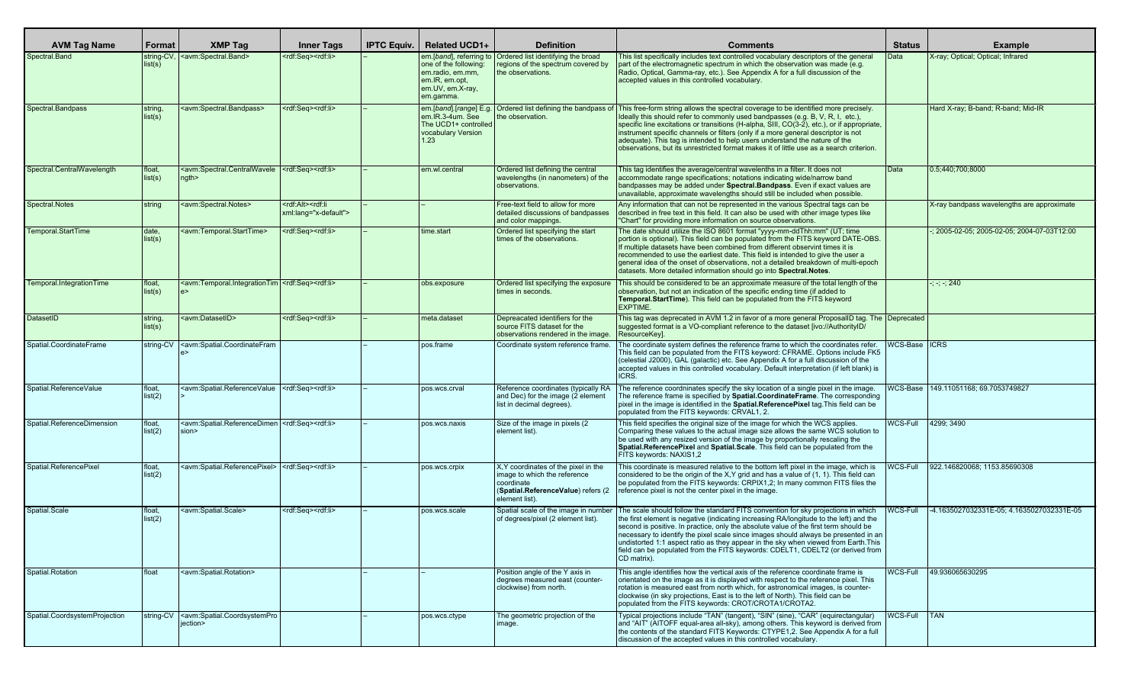| <b>AVM Tag Name</b>           | Format                | <b>XMP Tag</b>                                                                                                                                                                                                                                                                                                                                                                                                                                                                                                                                             | <b>Inner Tags</b>                                                  | <b>IPTC Equiv.</b> | Related UCD1+                                                                               | <b>Definition</b>                                                                                                                           | <b>Comments</b>                                                                                                                                                                                                                                                                                                                                                                                                                                                                                                                                           | <b>Status</b>   | <b>Example</b>                             |
|-------------------------------|-----------------------|------------------------------------------------------------------------------------------------------------------------------------------------------------------------------------------------------------------------------------------------------------------------------------------------------------------------------------------------------------------------------------------------------------------------------------------------------------------------------------------------------------------------------------------------------------|--------------------------------------------------------------------|--------------------|---------------------------------------------------------------------------------------------|---------------------------------------------------------------------------------------------------------------------------------------------|-----------------------------------------------------------------------------------------------------------------------------------------------------------------------------------------------------------------------------------------------------------------------------------------------------------------------------------------------------------------------------------------------------------------------------------------------------------------------------------------------------------------------------------------------------------|-----------------|--------------------------------------------|
| Spectral.Band                 | string-CV,<br>list(s) | <avm:spectral.band></avm:spectral.band>                                                                                                                                                                                                                                                                                                                                                                                                                                                                                                                    | <rdf:seq><rdf:li></rdf:li></rdf:seq>                               |                    | one of the following:<br>em.radio.em.mm.<br>em.IR, em.opt,<br>em.UV, em.X-ray,<br>em.gamma. | em.[band], referring to   Ordered list identifying the broad<br>eqions of the spectrum covered by<br>the observations.                      | This list specifically includes text controlled vocabulary descriptors of the general<br>part of the electromagnetic spectrum in which the observation was made (e.g.<br>Radio, Optical, Gamma-ray, etc.). See Appendix A for a full discussion of the<br>accepted values in this controlled vocabulary.                                                                                                                                                                                                                                                  | Data            | X-ray; Optical; Optical; Infrared          |
| Spectral.Bandpass             | string<br>list(s)     | <avm:spectral.bandpass></avm:spectral.bandpass>                                                                                                                                                                                                                                                                                                                                                                                                                                                                                                            | <rdf:seq><rdf:li></rdf:li></rdf:seq>                               |                    | em.IR.3-4um. See<br>The UCD1+ controlled<br>vocabulary Version<br>1.23                      | em.[band].[range] E.g.   Ordered list defining the bandpass of<br>he observation.                                                           | This free-form string allows the spectral coverage to be identified more precisely.<br>Ideally this should refer to commonly used bandpasses (e.g. B, V, R, I, etc.),<br>specific line excitations or transitions (H-alpha, SIII, CO(3-2), etc.), or if appropriate,<br>instrument specific channels or filters (only if a more general descriptor is not<br>adequate). This tag is intended to help users understand the nature of the<br>observations, but its unrestricted format makes it of little use as a search criterion.                        |                 | Hard X-ray; B-band; R-band; Mid-IR         |
| Spectral.CentralWavelength    | float.<br>list(s)     | <avm:spectral.centralwavele  <rdf:seq=""><rdf:li><br/>ngth</rdf:li></avm:spectral.centralwavele>                                                                                                                                                                                                                                                                                                                                                                                                                                                           |                                                                    |                    | em.wl.central                                                                               | Ordered list defining the central<br>wavelengths (in nanometers) of the<br>observations.                                                    | This tag identifies the average/central wavelenths in a filter. It does not<br>accommodate range specifications; notations indicating wide/narrow band<br>bandpasses may be added under Spectral. Bandpass. Even if exact values are<br>unavailable, approximate wavelengths should still be included when possible.                                                                                                                                                                                                                                      | Data            | 0.5:440:700:8000                           |
| Spectral.Notes                | string                | <avm:spectral.notes></avm:spectral.notes>                                                                                                                                                                                                                                                                                                                                                                                                                                                                                                                  | <rdf:alt><rdf:li<br>xml:lang="x-default"&gt;</rdf:li<br></rdf:alt> |                    |                                                                                             | Free-text field to allow for more<br>detailed discussions of bandpasses<br>and color mappings.                                              | Any information that can not be represented in the various Spectral tags can be<br>described in free text in this field. It can also be used with other image types like<br>"Chart" for providing more information on source observations.                                                                                                                                                                                                                                                                                                                |                 | X-ray bandpass wavelengths are approximate |
| Temporal.StartTime            | date,<br>list(s)      | <avm:temporal.starttime></avm:temporal.starttime>                                                                                                                                                                                                                                                                                                                                                                                                                                                                                                          | <rdf:seq><rdf:li></rdf:li></rdf:seq>                               |                    | time.start                                                                                  | Ordered list specifying the start<br>times of the observations.                                                                             | The date should utilize the ISO 8601 format "yyyy-mm-ddThh:mm" (UT; time<br>portion is optional). This field can be populated from the FITS keyword DATE-OBS.<br>If multiple datasets have been combined from different observint times it is<br>recommended to use the earliest date. This field is intended to give the user a<br>general idea of the onset of observations, not a detailed breakdown of multi-epoch<br>datasets. More detailed information should go into Spectral. Notes.                                                             |                 | 2005-02-05; 2005-02-05; 2004-07-03T12:00   |
| Temporal.IntegrationTime      | float,<br>list(s)     | <avm:temporal.integrationtim <rdf:seq=""><rdf:li></rdf:li></avm:temporal.integrationtim>                                                                                                                                                                                                                                                                                                                                                                                                                                                                   |                                                                    |                    | obs.exposure                                                                                | Ordered list specifying the exposure<br>times in seconds.                                                                                   | This should be considered to be an approximate measure of the total length of the<br>observation, but not an indication of the specific ending time (if added to<br><b>Temporal.StartTime</b> ). This field can be populated from the FITS keyword<br><b>IEXPTIME.</b>                                                                                                                                                                                                                                                                                    |                 | $\frac{1}{2}$ ; -; -; 240                  |
| DatasetID                     | string.<br>list(s)    | <avm:datasetid></avm:datasetid>                                                                                                                                                                                                                                                                                                                                                                                                                                                                                                                            | <rdf:seq><rdf:li></rdf:li></rdf:seq>                               |                    | meta.dataset                                                                                | Depreacated identifiers for the<br>Source FITS dataset for the<br>observations rendered in the image.                                       | This tag was deprecated in AVM 1.2 in favor of a more general ProposalID tag. The Deprecated<br>suggested format is a VO-compliant reference to the dataset [ivo://AuthorityID/<br>ResourceKeyl.                                                                                                                                                                                                                                                                                                                                                          |                 |                                            |
| Spatial.CoordinateFrame       | string-CV             | <avm:spatial.coordinatefram< td=""><td></td><td></td><td>pos.frame</td><td>Coordinate system reference frame.</td><td>The coordinate system defines the reference frame to which the coordinates refer.<br/>This field can be populated from the FITS keyword: CFRAME. Options include FK5<br/>(celestial J2000), GAL (galactic) etc. See Appendix A for a full discussion of the<br/>accepted values in this controlled vocabulary. Default interpretation (if left blank) is<br/>ICRS.</td><td>WCS-Base ICRS</td><td></td></avm:spatial.coordinatefram<> |                                                                    |                    | pos.frame                                                                                   | Coordinate system reference frame.                                                                                                          | The coordinate system defines the reference frame to which the coordinates refer.<br>This field can be populated from the FITS keyword: CFRAME. Options include FK5<br>(celestial J2000), GAL (galactic) etc. See Appendix A for a full discussion of the<br>accepted values in this controlled vocabulary. Default interpretation (if left blank) is<br>ICRS.                                                                                                                                                                                            | WCS-Base ICRS   |                                            |
| Spatial.ReferenceValue        | float.<br>list(2)     | <avm:spatial.referencevalue  <rdf:seq=""><rdf:li></rdf:li></avm:spatial.referencevalue>                                                                                                                                                                                                                                                                                                                                                                                                                                                                    |                                                                    |                    | pos.wcs.crval                                                                               | Reference coordinates (typically RA<br>and Dec) for the image (2 element<br>list in decimal degrees).                                       | The reference coordninates specify the sky location of a single pixel in the image.<br>The reference frame is specified by Spatial.CoordinateFrame. The corresponding<br>pixel in the image is identified in the <b>Spatial.ReferencePixel</b> tag.This field can be<br>populated from the FITS keywords: CRVAL1, 2.                                                                                                                                                                                                                                      |                 | WCS-Base   149.11051168; 69.7053749827     |
| Spatial.ReferenceDimension    | float,<br>list(2)     | <avm:spatial.referencedimen <rdf:seq=""  =""><rdf:li><br/>sion&gt;</rdf:li></avm:spatial.referencedimen>                                                                                                                                                                                                                                                                                                                                                                                                                                                   |                                                                    |                    | pos.wcs.naxis                                                                               | Size of the image in pixels (2)<br>element list).                                                                                           | This field specifies the original size of the image for which the WCS applies.<br>Comparing these values to the actual image size allows the same WCS solution to<br>be used with any resized version of the image by proportionally rescaling the<br>Spatial.ReferencePixel and Spatial.Scale. This field can be populated from the<br>FITS keywords: NAXIS1,2                                                                                                                                                                                           | WCS-Full        | 4299; 3490                                 |
| Spatial.ReferencePixel        | float.<br>list(2)     | <avm:spatial.referencepixel>   <rdf:seq><rdf:li></rdf:li></rdf:seq></avm:spatial.referencepixel>                                                                                                                                                                                                                                                                                                                                                                                                                                                           |                                                                    |                    | pos.wcs.crpix                                                                               | X, Y coordinates of the pixel in the<br>image to which the reference<br>coordinate<br>(Spatial.ReferenceValue) refers (2)<br>element list). | This coordinate is measured relative to the bottom left pixel in the image, which is<br>considered to be the origin of the X, Y grid and has a value of (1, 1). This field can<br>be populated from the FITS keywords: CRPIX1,2; In many common FITS files the<br>reference pixel is not the center pixel in the image.                                                                                                                                                                                                                                   | //CS-Full       | 922.146820068; 1153.85690308               |
| Spatial.Scale                 | float,<br>list(2)     | <avm:spatial.scale></avm:spatial.scale>                                                                                                                                                                                                                                                                                                                                                                                                                                                                                                                    | <rdf:seq><rdf:li></rdf:li></rdf:seq>                               |                    | pos.wcs.scale                                                                               | Spatial scale of the image in number<br>of degrees/pixel (2 element list).                                                                  | The scale should follow the standard FITS convention for sky projections in which<br>the first element is negative (indicating increasing RA/longitude to the left) and the<br>second is positive. In practice, only the absolute value of the first term should be<br>necessary to identify the pixel scale since images should always be presented in an<br>undistorted 1:1 aspect ratio as they appear in the sky when viewed from Earth. This<br>field can be populated from the FITS keywords: CDELT1, CDELT2 (or derived from<br><b>CD</b> matrix). | WCS-Full        | -4.1635027032331E-05: 4.1635027032331E-05  |
| Spatial.Rotation              | float                 | <avm:spatial.rotation></avm:spatial.rotation>                                                                                                                                                                                                                                                                                                                                                                                                                                                                                                              |                                                                    |                    |                                                                                             | Position angle of the Y axis in<br>degrees measured east (counter-<br>clockwise) from north.                                                | This angle identifies how the vertical axis of the reference coordinate frame is<br>orientated on the image as it is displayed with respect to the reference pixel. This<br>I rotation is measured east from north which, for astronomical images, is counter-<br>I clockwise (in sky projections. East is to the left of North). This field can be<br>populated from the FITS keywords: CROT/CROTA1/CROTA2.                                                                                                                                              |                 | WCS-Full 49.936065630295                   |
| Spatial.CoordsystemProjection |                       | string-CV <avm:spatial.coordsystempro<br>jection&gt;</avm:spatial.coordsystempro<br>                                                                                                                                                                                                                                                                                                                                                                                                                                                                       |                                                                    |                    | pos.wcs.ctype                                                                               | The geometric projection of the<br>image.                                                                                                   | Typical projections include "TAN" (tangent), "SIN" (sine), "CAR" (equirectangular)<br>and "AIT" (AITOFF equal-area all-sky), among others. This keyword is derived from<br>the contents of the standard FITS Keywords: CTYPE1.2. See Appendix A for a full<br>I discussion of the accepted values in this controlled vocabulary.                                                                                                                                                                                                                          | <b>WCS-Full</b> | <b>TAN</b>                                 |